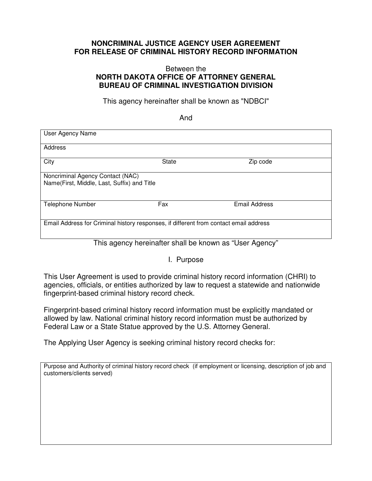## **NONCRIMINAL JUSTICE AGENCY USER AGREEMENT FOR RELEASE OF CRIMINAL HISTORY RECORD INFORMATION**

## Between the **NORTH DAKOTA OFFICE OF ATTORNEY GENERAL BUREAU OF CRIMINAL INVESTIGATION DIVISION**

This agency hereinafter shall be known as "NDBCI"

And

| User Agency Name                                                                      |       |               |  |
|---------------------------------------------------------------------------------------|-------|---------------|--|
| Address                                                                               |       |               |  |
| City                                                                                  | State | Zip code      |  |
| Noncriminal Agency Contact (NAC)<br>Name(First, Middle, Last, Suffix) and Title       |       |               |  |
| <b>Telephone Number</b>                                                               | Fax   | Email Address |  |
| Email Address for Criminal history responses, if different from contact email address |       |               |  |

This agency hereinafter shall be known as "User Agency"

I. Purpose

This User Agreement is used to provide criminal history record information (CHRI) to agencies, officials, or entities authorized by law to request a statewide and nationwide fingerprint-based criminal history record check.

Fingerprint-based criminal history record information must be explicitly mandated or allowed by law. National criminal history record information must be authorized by Federal Law or a State Statue approved by the U.S. Attorney General.

The Applying User Agency is seeking criminal history record checks for:

Purpose and Authority of criminal history record check (if employment or licensing, description of job and customers/clients served)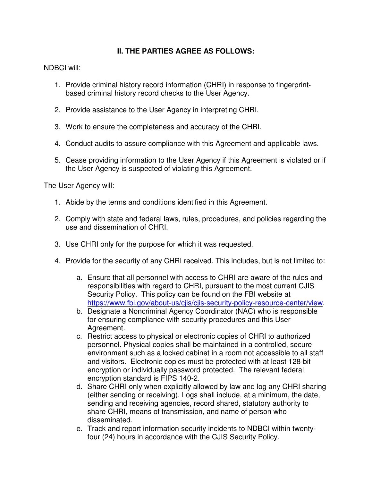## **II. THE PARTIES AGREE AS FOLLOWS:**

NDBCI will:

- 1. Provide criminal history record information (CHRI) in response to fingerprint‐ based criminal history record checks to the User Agency.
- 2. Provide assistance to the User Agency in interpreting CHRI.
- 3. Work to ensure the completeness and accuracy of the CHRI.
- 4. Conduct audits to assure compliance with this Agreement and applicable laws.
- 5. Cease providing information to the User Agency if this Agreement is violated or if the User Agency is suspected of violating this Agreement.

The User Agency will:

- 1. Abide by the terms and conditions identified in this Agreement.
- 2. Comply with state and federal laws, rules, procedures, and policies regarding the use and dissemination of CHRI.
- 3. Use CHRI only for the purpose for which it was requested.
- 4. Provide for the security of any CHRI received. This includes, but is not limited to:
	- a. Ensure that all personnel with access to CHRI are aware of the rules and responsibilities with regard to CHRI, pursuant to the most current CJIS Security Policy. This policy can be found on the FBI website at https://www.fbi.gov/about-us/cjis/cjis-security-policy-resource-center/view.
	- b. Designate a Noncriminal Agency Coordinator (NAC) who is responsible for ensuring compliance with security procedures and this User Agreement.
	- c. Restrict access to physical or electronic copies of CHRI to authorized personnel. Physical copies shall be maintained in a controlled, secure environment such as a locked cabinet in a room not accessible to all staff and visitors. Electronic copies must be protected with at least 128-bit encryption or individually password protected. The relevant federal encryption standard is FIPS 140-2.
	- d. Share CHRI only when explicitly allowed by law and log any CHRI sharing (either sending or receiving). Logs shall include, at a minimum, the date, sending and receiving agencies, record shared, statutory authority to share CHRI, means of transmission, and name of person who disseminated.
	- e. Track and report information security incidents to NDBCI within twentyfour (24) hours in accordance with the CJIS Security Policy.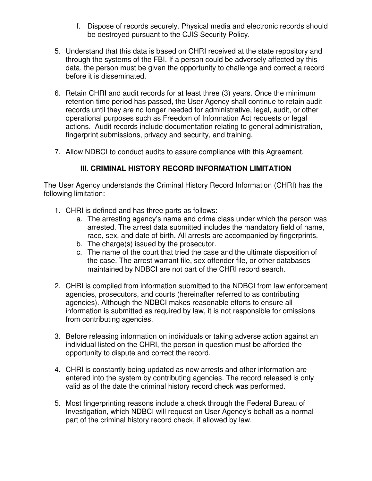- f. Dispose of records securely. Physical media and electronic records should be destroyed pursuant to the CJIS Security Policy.
- 5. Understand that this data is based on CHRI received at the state repository and through the systems of the FBI. If a person could be adversely affected by this data, the person must be given the opportunity to challenge and correct a record before it is disseminated.
- 6. Retain CHRI and audit records for at least three (3) years. Once the minimum retention time period has passed, the User Agency shall continue to retain audit records until they are no longer needed for administrative, legal, audit, or other operational purposes such as Freedom of Information Act requests or legal actions. Audit records include documentation relating to general administration, fingerprint submissions, privacy and security, and training.
- 7. Allow NDBCI to conduct audits to assure compliance with this Agreement.

## **III. CRIMINAL HISTORY RECORD INFORMATION LIMITATION**

The User Agency understands the Criminal History Record Information (CHRI) has the following limitation:

- 1. CHRI is defined and has three parts as follows:
	- a. The arresting agency's name and crime class under which the person was arrested. The arrest data submitted includes the mandatory field of name, race, sex, and date of birth. All arrests are accompanied by fingerprints.
	- b. The charge(s) issued by the prosecutor.
	- c. The name of the court that tried the case and the ultimate disposition of the case. The arrest warrant file, sex offender file, or other databases maintained by NDBCI are not part of the CHRI record search.
- 2. CHRI is compiled from information submitted to the NDBCI from law enforcement agencies, prosecutors, and courts (hereinafter referred to as contributing agencies). Although the NDBCI makes reasonable efforts to ensure all information is submitted as required by law, it is not responsible for omissions from contributing agencies.
- 3. Before releasing information on individuals or taking adverse action against an individual listed on the CHRI, the person in question must be afforded the opportunity to dispute and correct the record.
- 4. CHRI is constantly being updated as new arrests and other information are entered into the system by contributing agencies. The record released is only valid as of the date the criminal history record check was performed.
- 5. Most fingerprinting reasons include a check through the Federal Bureau of Investigation, which NDBCI will request on User Agency's behalf as a normal part of the criminal history record check, if allowed by law.